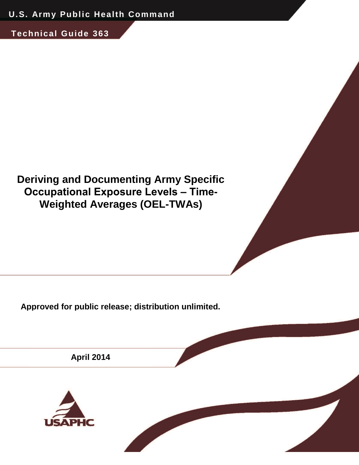**Technical Guide 363**

# **Deriving and Documenting Army Specific Occupational Exposure Levels ‒ Time-Weighted Averages (OEL-TWAs)**

**Approved for public release; distribution unlimited.**

**April 2014**

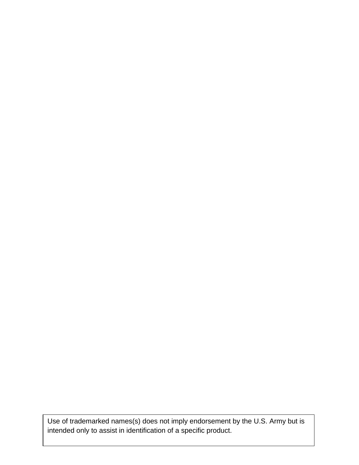Use of trademarked names(s) does not imply endorsement by the U.S. Army but is intended only to assist in identification of a specific product.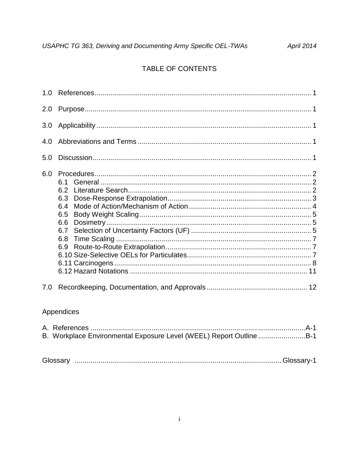# TABLE OF CONTENTS

| 1.0 |                                                             |  |  |  |  |  |
|-----|-------------------------------------------------------------|--|--|--|--|--|
| 2.0 |                                                             |  |  |  |  |  |
| 3.0 |                                                             |  |  |  |  |  |
| 4.0 |                                                             |  |  |  |  |  |
| 5.0 |                                                             |  |  |  |  |  |
| 6.0 | 6.1<br>6.2<br>6.3<br>6.4<br>6.5<br>6.6<br>6.7<br>6.8<br>6.9 |  |  |  |  |  |
| 7.0 |                                                             |  |  |  |  |  |
|     | <i>Annondinon</i>                                           |  |  |  |  |  |

#### Appendices

| B. Workplace Environmental Exposure Level (WEEL) Report OutlineB-1 |  |
|--------------------------------------------------------------------|--|
|                                                                    |  |
|                                                                    |  |

| Glossary |  |  |  |
|----------|--|--|--|
|----------|--|--|--|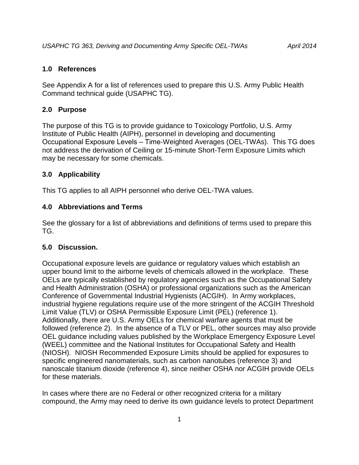# **1.0 References**

See Appendix A for a list of references used to prepare this U.S. Army Public Health Command technical guide (USAPHC TG).

# **2.0 Purpose**

The purpose of this TG is to provide guidance to Toxicology Portfolio, U.S. Army Institute of Public Health (AIPH), personnel in developing and documenting Occupational Exposure Levels ‒ Time-Weighted Averages (OEL-TWAs). This TG does not address the derivation of Ceiling or 15-minute Short-Term Exposure Limits which may be necessary for some chemicals.

# **3.0 Applicability**

This TG applies to all AIPH personnel who derive OEL-TWA values.

# **4.0 Abbreviations and Terms**

See the glossary for a list of abbreviations and definitions of terms used to prepare this TG.

# **5.0 Discussion.**

Occupational exposure levels are guidance or regulatory values which establish an upper bound limit to the airborne levels of chemicals allowed in the workplace. These OELs are typically established by regulatory agencies such as the Occupational Safety and Health Administration (OSHA) or professional organizations such as the American Conference of Governmental Industrial Hygienists (ACGIH). In Army workplaces, industrial hygiene regulations require use of the more stringent of the ACGIH Threshold Limit Value (TLV) or OSHA Permissible Exposure Limit (PEL) (reference 1). Additionally, there are U.S. Army OELs for chemical warfare agents that must be followed (reference 2). In the absence of a TLV or PEL, other sources may also provide OEL guidance including values published by the Workplace Emergency Exposure Level (WEEL) committee and the National Institutes for Occupational Safety and Health (NIOSH). NIOSH Recommended Exposure Limits should be applied for exposures to specific engineered nanomaterials, such as carbon nanotubes (reference 3) and nanoscale titanium dioxide (reference 4), since neither OSHA nor ACGIH provide OELs for these materials.

In cases where there are no Federal or other recognized criteria for a military compound, the Army may need to derive its own guidance levels to protect Department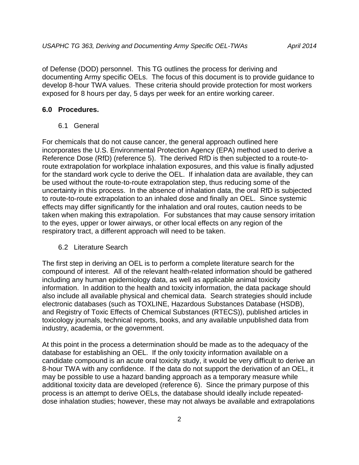of Defense (DOD) personnel. This TG outlines the process for deriving and documenting Army specific OELs. The focus of this document is to provide guidance to develop 8-hour TWA values. These criteria should provide protection for most workers exposed for 8 hours per day, 5 days per week for an entire working career.

#### **6.0 Procedures.**

6.1 General

For chemicals that do not cause cancer, the general approach outlined here incorporates the U.S. Environmental Protection Agency (EPA) method used to derive a Reference Dose (RfD) (reference 5). The derived RfD is then subjected to a route-toroute extrapolation for workplace inhalation exposures, and this value is finally adjusted for the standard work cycle to derive the OEL. If inhalation data are available, they can be used without the route-to-route extrapolation step, thus reducing some of the uncertainty in this process. In the absence of inhalation data, the oral RfD is subjected to route-to-route extrapolation to an inhaled dose and finally an OEL. Since systemic effects may differ significantly for the inhalation and oral routes, caution needs to be taken when making this extrapolation. For substances that may cause sensory irritation to the eyes, upper or lower airways, or other local effects on any region of the respiratory tract, a different approach will need to be taken.

#### 6.2 Literature Search

The first step in deriving an OEL is to perform a complete literature search for the compound of interest. All of the relevant health-related information should be gathered including any human epidemiology data, as well as applicable animal toxicity information. In addition to the health and toxicity information, the data package should also include all available physical and chemical data. Search strategies should include electronic databases (such as TOXLINE, Hazardous Substances Database (HSDB), and Registry of Toxic Effects of Chemical Substances (RTECS)), published articles in toxicology journals, technical reports, books, and any available unpublished data from industry, academia, or the government.

At this point in the process a determination should be made as to the adequacy of the database for establishing an OEL. If the only toxicity information available on a candidate compound is an acute oral toxicity study, it would be very difficult to derive an 8-hour TWA with any confidence. If the data do not support the derivation of an OEL, it may be possible to use a hazard banding approach as a temporary measure while additional toxicity data are developed (reference 6). Since the primary purpose of this process is an attempt to derive OELs, the database should ideally include repeateddose inhalation studies; however, these may not always be available and extrapolations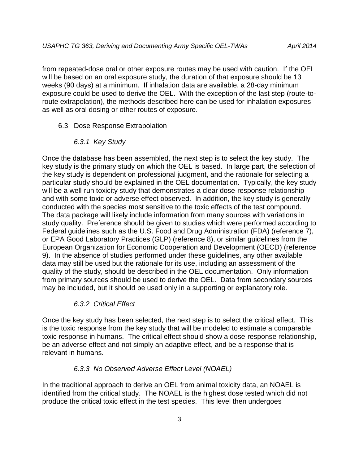from repeated-dose oral or other exposure routes may be used with caution. If the OEL will be based on an oral exposure study, the duration of that exposure should be 13 weeks (90 days) at a minimum. If inhalation data are available, a 28-day minimum exposure could be used to derive the OEL. With the exception of the last step (route-toroute extrapolation), the methods described here can be used for inhalation exposures as well as oral dosing or other routes of exposure.

6.3 Dose Response Extrapolation

#### *6.3.1 Key Study*

Once the database has been assembled, the next step is to select the key study. The key study is the primary study on which the OEL is based. In large part, the selection of the key study is dependent on professional judgment, and the rationale for selecting a particular study should be explained in the OEL documentation. Typically, the key study will be a well-run toxicity study that demonstrates a clear dose-response relationship and with some toxic or adverse effect observed. In addition, the key study is generally conducted with the species most sensitive to the toxic effects of the test compound. The data package will likely include information from many sources with variations in study quality. Preference should be given to studies which were performed according to Federal guidelines such as the U.S. Food and Drug Administration (FDA) (reference 7), or EPA Good Laboratory Practices (GLP) (reference 8), or similar guidelines from the European Organization for Economic Cooperation and Development (OECD) (reference 9). In the absence of studies performed under these guidelines, any other available data may still be used but the rationale for its use, including an assessment of the quality of the study, should be described in the OEL documentation. Only information from primary sources should be used to derive the OEL. Data from secondary sources may be included, but it should be used only in a supporting or explanatory role.

#### *6.3.2 Critical Effect*

Once the key study has been selected, the next step is to select the critical effect. This is the toxic response from the key study that will be modeled to estimate a comparable toxic response in humans. The critical effect should show a dose-response relationship, be an adverse effect and not simply an adaptive effect, and be a response that is relevant in humans.

#### *6.3.3 No Observed Adverse Effect Level (NOAEL)*

In the traditional approach to derive an OEL from animal toxicity data, an NOAEL is identified from the critical study. The NOAEL is the highest dose tested which did not produce the critical toxic effect in the test species. This level then undergoes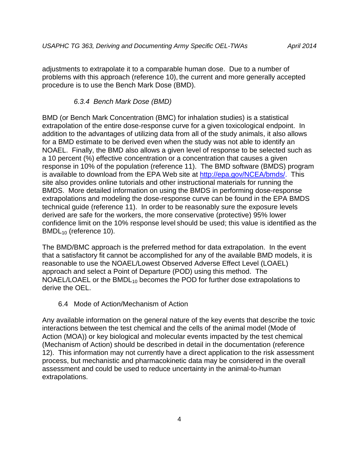adjustments to extrapolate it to a comparable human dose. Due to a number of problems with this approach (reference 10), the current and more generally accepted procedure is to use the Bench Mark Dose (BMD).

### *6.3.4 Bench Mark Dose (BMD)*

BMD (or Bench Mark Concentration (BMC) for inhalation studies) is a statistical extrapolation of the entire dose-response curve for a given toxicological endpoint. In addition to the advantages of utilizing data from all of the study animals, it also allows for a BMD estimate to be derived even when the study was not able to identify an NOAEL. Finally, the BMD also allows a given level of response to be selected such as a 10 percent (%) effective concentration or a concentration that causes a given response in 10% of the population (reference 11). The BMD software (BMDS) program is available to download from the EPA Web site at [http://epa.gov/NCEA/bmds/.](http://epa.gov/NCEA/bmds/) This site also provides online tutorials and other instructional materials for running the BMDS. More detailed information on using the BMDS in performing dose-response extrapolations and modeling the dose-response curve can be found in the EPA BMDS technical guide (reference 11). In order to be reasonably sure the exposure levels derived are safe for the workers, the more conservative (protective) 95% lower confidence limit on the 10% response level should be used; this value is identified as the BMDL<sub>10</sub> (reference 10).

The BMD/BMC approach is the preferred method for data extrapolation. In the event that a satisfactory fit cannot be accomplished for any of the available BMD models, it is reasonable to use the NOAEL/Lowest Observed Adverse Effect Level (LOAEL) approach and select a Point of Departure (POD) using this method. The NOAEL/LOAEL or the BMDL<sub>10</sub> becomes the POD for further dose extrapolations to derive the OEL.

#### 6.4 Mode of Action/Mechanism of Action

Any available information on the general nature of the key events that describe the toxic interactions between the test chemical and the cells of the animal model (Mode of Action (MOA)) or key biological and molecular events impacted by the test chemical (Mechanism of Action) should be described in detail in the documentation (reference 12). This information may not currently have a direct application to the risk assessment process, but mechanistic and pharmacokinetic data may be considered in the overall assessment and could be used to reduce uncertainty in the animal-to-human extrapolations.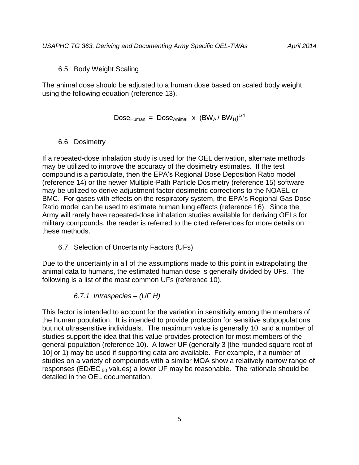6.5 Body Weight Scaling

The animal dose should be adjusted to a human dose based on scaled body weight using the following equation (reference 13).

 $Dose_{Human} = Does_{Animal} x (BW_A/BW_H)^{1/4}$ 

#### 6.6 Dosimetry

If a repeated-dose inhalation study is used for the OEL derivation, alternate methods may be utilized to improve the accuracy of the dosimetry estimates. If the test compound is a particulate, then the EPA's Regional Dose Deposition Ratio model (reference 14) or the newer Multiple-Path Particle Dosimetry (reference 15) software may be utilized to derive adjustment factor dosimetric corrections to the NOAEL or BMC. For gases with effects on the respiratory system, the EPA's Regional Gas Dose Ratio model can be used to estimate human lung effects (reference 16). Since the Army will rarely have repeated-dose inhalation studies available for deriving OELs for military compounds, the reader is referred to the cited references for more details on these methods.

6.7 Selection of Uncertainty Factors (UFs)

Due to the uncertainty in all of the assumptions made to this point in extrapolating the animal data to humans, the estimated human dose is generally divided by UFs. The following is a list of the most common UFs (reference 10).

*6.7.1 Intraspecies – (UF H)*

This factor is intended to account for the variation in sensitivity among the members of the human population. It is intended to provide protection for sensitive subpopulations but not ultrasensitive individuals. The maximum value is generally 10, and a number of studies support the idea that this value provides protection for most members of the general population (reference 10). A lower UF (generally 3 [the rounded square root of 10] or 1) may be used if supporting data are available. For example, if a number of studies on a variety of compounds with a similar MOA show a relatively narrow range of responses (ED/EC  $_{50}$  values) a lower UF may be reasonable. The rationale should be detailed in the OEL documentation.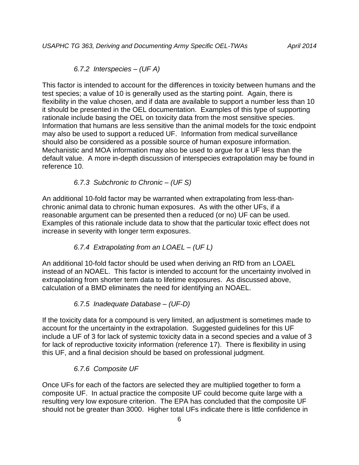*6.7.2 Interspecies – (UF A)*

This factor is intended to account for the differences in toxicity between humans and the test species; a value of 10 is generally used as the starting point. Again, there is flexibility in the value chosen, and if data are available to support a number less than 10 it should be presented in the OEL documentation. Examples of this type of supporting rationale include basing the OEL on toxicity data from the most sensitive species. Information that humans are less sensitive than the animal models for the toxic endpoint may also be used to support a reduced UF. Information from medical surveillance should also be considered as a possible source of human exposure information. Mechanistic and MOA information may also be used to argue for a UF less than the default value. A more in-depth discussion of interspecies extrapolation may be found in reference 10.

#### *6.7.3 Subchronic to Chronic – (UF S)*

An additional 10-fold factor may be warranted when extrapolating from less-thanchronic animal data to chronic human exposures. As with the other UFs, if a reasonable argument can be presented then a reduced (or no) UF can be used. Examples of this rationale include data to show that the particular toxic effect does not increase in severity with longer term exposures.

### *6.7.4 Extrapolating from an LOAEL – (UF L)*

An additional 10-fold factor should be used when deriving an RfD from an LOAEL instead of an NOAEL. This factor is intended to account for the uncertainty involved in extrapolating from shorter term data to lifetime exposures. As discussed above, calculation of a BMD eliminates the need for identifying an NOAEL.

#### *6.7.5 Inadequate Database – (UF-D)*

If the toxicity data for a compound is very limited, an adjustment is sometimes made to account for the uncertainty in the extrapolation. Suggested guidelines for this UF include a UF of 3 for lack of systemic toxicity data in a second species and a value of 3 for lack of reproductive toxicity information (reference 17). There is flexibility in using this UF, and a final decision should be based on professional judgment.

#### *6.7.6 Composite UF*

Once UFs for each of the factors are selected they are multiplied together to form a composite UF. In actual practice the composite UF could become quite large with a resulting very low exposure criterion. The EPA has concluded that the composite UF should not be greater than 3000. Higher total UFs indicate there is little confidence in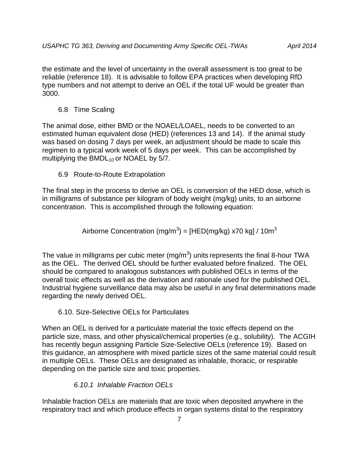the estimate and the level of uncertainty in the overall assessment is too great to be reliable (reference 18). It is advisable to follow EPA practices when developing RfD type numbers and not attempt to derive an OEL if the total UF would be greater than 3000.

6.8 Time Scaling

The animal dose, either BMD or the NOAEL/LOAEL, needs to be converted to an estimated human equivalent dose (HED) (references 13 and 14). If the animal study was based on dosing 7 days per week, an adjustment should be made to scale this regimen to a typical work week of 5 days per week. This can be accomplished by multiplying the  $BMDL_{10}$  or NOAEL by 5/7.

6.9 Route-to-Route Extrapolation

The final step in the process to derive an OEL is conversion of the HED dose, which is in milligrams of substance per kilogram of body weight (mg/kg) units, to an airborne concentration. This is accomplished through the following equation:

Airborne Concentration (mg/m<sup>3</sup>) = [HED(mg/kg) x70 kg] / 10m<sup>3</sup>

The value in milligrams per cubic meter (mg/m<sup>3</sup>) units represents the final 8-hour TWA as the OEL. The derived OEL should be further evaluated before finalized. The OEL should be compared to analogous substances with published OELs in terms of the overall toxic effects as well as the derivation and rationale used for the published OEL. Industrial hygiene surveillance data may also be useful in any final determinations made regarding the newly derived OEL.

#### 6.10. Size-Selective OELs for Particulates

When an OEL is derived for a particulate material the toxic effects depend on the particle size, mass, and other physical/chemical properties (e.g., solubility). The ACGIH has recently begun assigning Particle Size-Selective OELs (reference 19). Based on this guidance, an atmosphere with mixed particle sizes of the same material could result in multiple OELs. These OELs are designated as inhalable, thoracic, or respirable depending on the particle size and toxic properties.

### *6.10.1 Inhalable Fraction OELs*

Inhalable fraction OELs are materials that are toxic when deposited anywhere in the respiratory tract and which produce effects in organ systems distal to the respiratory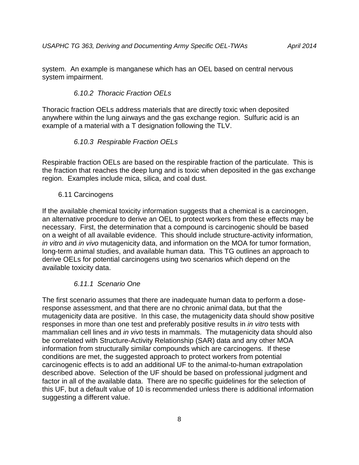system. An example is manganese which has an OEL based on central nervous system impairment.

#### *6.10.2 Thoracic Fraction OELs*

Thoracic fraction OELs address materials that are directly toxic when deposited anywhere within the lung airways and the gas exchange region. Sulfuric acid is an example of a material with a T designation following the TLV.

#### *6.10.3 Respirable Fraction OELs*

Respirable fraction OELs are based on the respirable fraction of the particulate. This is the fraction that reaches the deep lung and is toxic when deposited in the gas exchange region. Examples include mica, silica, and coal dust.

#### 6.11 Carcinogens

If the available chemical toxicity information suggests that a chemical is a carcinogen, an alternative procedure to derive an OEL to protect workers from these effects may be necessary. First, the determination that a compound is carcinogenic should be based on a weight of all available evidence. This should include structure-activity information, *in vitro* and *in vivo* mutagenicity data, and information on the MOA for tumor formation, long-term animal studies, and available human data. This TG outlines an approach to derive OELs for potential carcinogens using two scenarios which depend on the available toxicity data.

#### *6.11.1 Scenario One*

The first scenario assumes that there are inadequate human data to perform a doseresponse assessment, and that there are no chronic animal data, but that the mutagenicity data are positive. In this case, the mutagenicity data should show positive responses in more than one test and preferably positive results in *in vitro* tests with mammalian cell lines and *in vivo* tests in mammals. The mutagenicity data should also be correlated with Structure-Activity Relationship (SAR) data and any other MOA information from structurally similar compounds which are carcinogens. If these conditions are met, the suggested approach to protect workers from potential carcinogenic effects is to add an additional UF to the animal-to-human extrapolation described above. Selection of the UF should be based on professional judgment and factor in all of the available data. There are no specific guidelines for the selection of this UF, but a default value of 10 is recommended unless there is additional information suggesting a different value.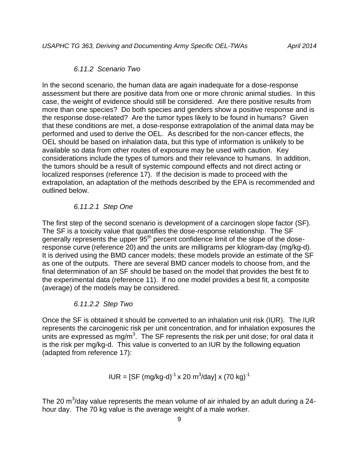#### *6.11.2 Scenario Two*

In the second scenario, the human data are again inadequate for a dose-response assessment but there are positive data from one or more chronic animal studies. In this case, the weight of evidence should still be considered. Are there positive results from more than one species? Do both species and genders show a positive response and is the response dose-related? Are the tumor types likely to be found in humans? Given that these conditions are met, a dose-response extrapolation of the animal data may be performed and used to derive the OEL. As described for the non-cancer effects, the OEL should be based on inhalation data, but this type of information is unlikely to be available so data from other routes of exposure may be used with caution. Key considerations include the types of tumors and their relevance to humans. In addition, the tumors should be a result of systemic compound effects and not direct acting or localized responses (reference 17). If the decision is made to proceed with the extrapolation, an adaptation of the methods described by the EPA is recommended and outlined below.

### *6.11.2.1 Step One*

The first step of the second scenario is development of a carcinogen slope factor (SF). The SF is a toxicity value that quantifies the dose-response relationship. The SF generally represents the upper 95<sup>th</sup> percent confidence limit of the slope of the doseresponse curve (reference 20) and the units are milligrams per kilogram-day (mg/kg-d). It is derived using the BMD cancer models; these models provide an estimate of the SF as one of the outputs. There are several BMD cancer models to choose from, and the final determination of an SF should be based on the model that provides the best fit to the experimental data (reference 11). If no one model provides a best fit, a composite (average) of the models may be considered.

#### *6.11.2.2 Step Two*

Once the SF is obtained it should be converted to an inhalation unit risk (IUR). The IUR represents the carcinogenic risk per unit concentration, and for inhalation exposures the units are expressed as mg/m<sup>3</sup>. The SF represents the risk per unit dose; for oral data it is the risk per mg/kg-d. This value is converted to an IUR by the following equation (adapted from reference 17):

$$
IUR = [SF (mg/kg-d)-1 x 20 m3/day] x (70 kg)-1
$$

The 20 m<sup>3</sup>/day value represents the mean volume of air inhaled by an adult during a 24hour day. The 70 kg value is the average weight of a male worker.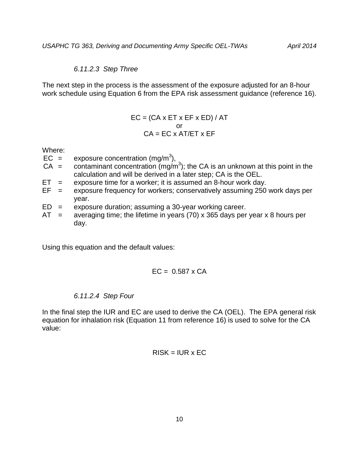#### *6.11.2.3 Step Three*

The next step in the process is the assessment of the exposure adjusted for an 8-hour work schedule using Equation 6 from the EPA risk assessment guidance (reference 16).

$$
EC = (CA \times ET \times EF \times ED) / AT
$$
  
or  

$$
CA = EC \times AT/ET \times EF
$$

Where:

- $EC =$  exposure concentration (mg/m<sup>3</sup>),
- $CA =$  contaminant concentration (mg/m<sup>3</sup>); the CA is an unknown at this point in the calculation and will be derived in a later step; CA is the OEL.
- $ET =$  exposure time for a worker; it is assumed an 8-hour work day.
- $EF =$  exposure frequency for workers; conservatively assuming 250 work days per year.
- $ED =$  exposure duration; assuming a 30-year working career.
- $AT =$  averaging time; the lifetime in years (70) x 365 days per year x 8 hours per day.

Using this equation and the default values:

$$
EC = 0.587 \times CA
$$

### *6.11.2.4 Step Four*

In the final step the IUR and EC are used to derive the CA (OEL). The EPA general risk equation for inhalation risk (Equation 11 from reference 16) is used to solve for the CA value:

#### $RISK = IUR \times EC$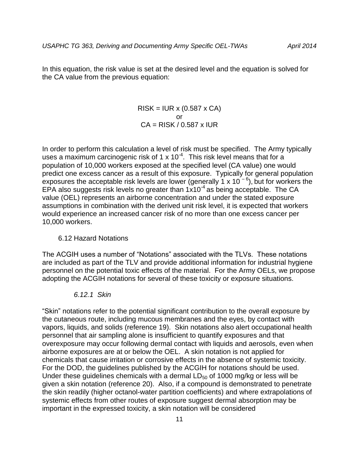In this equation, the risk value is set at the desired level and the equation is solved for the CA value from the previous equation:

> $RISK = IUR \times (0.587 \times CA)$ or  $CA = RISK / 0.587 x IUR$

In order to perform this calculation a level of risk must be specified. The Army typically uses a maximum carcinogenic risk of 1 x 10<sup>-4</sup>. This risk level means that for a population of 10,000 workers exposed at the specified level (CA value) one would predict one excess cancer as a result of this exposure. Typically for general population exposures the acceptable risk levels are lower (generally 1 x 10<sup>-6</sup>), but for workers the EPA also suggests risk levels no greater than  $1x10^{-4}$  as being acceptable. The CA value (OEL) represents an airborne concentration and under the stated exposure assumptions in combination with the derived unit risk level, it is expected that workers would experience an increased cancer risk of no more than one excess cancer per 10,000 workers.

#### 6.12 Hazard Notations

The ACGIH uses a number of "Notations" associated with the TLVs. These notations are included as part of the TLV and provide additional information for industrial hygiene personnel on the potential toxic effects of the material. For the Army OELs, we propose adopting the ACGIH notations for several of these toxicity or exposure situations.

#### *6.12.1 Skin*

"Skin" notations refer to the potential significant contribution to the overall exposure by the cutaneous route, including mucous membranes and the eyes, by contact with vapors, liquids, and solids (reference 19). Skin notations also alert occupational health personnel that air sampling alone is insufficient to quantify exposures and that overexposure may occur following dermal contact with liquids and aerosols, even when airborne exposures are at or below the OEL. A skin notation is not applied for chemicals that cause irritation or corrosive effects in the absence of systemic toxicity. For the DOD, the guidelines published by the ACGIH for notations should be used. Under these guidelines chemicals with a dermal  $LD_{50}$  of 1000 mg/kg or less will be given a skin notation (reference 20). Also, if a compound is demonstrated to penetrate the skin readily (higher octanol-water partition coefficients) and where extrapolations of systemic effects from other routes of exposure suggest dermal absorption may be important in the expressed toxicity, a skin notation will be considered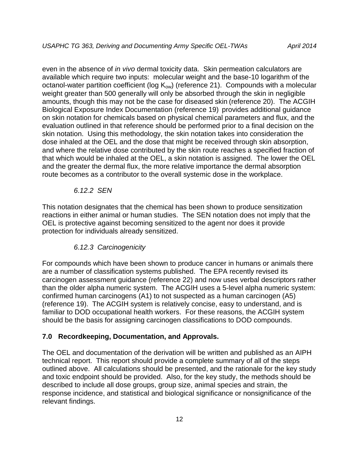even in the absence of *in vivo* dermal toxicity data. Skin permeation calculators are available which require two inputs: molecular weight and the base-10 logarithm of the octanol-water partition coefficient (log  $K_{ow}$ ) (reference 21). Compounds with a molecular weight greater than 500 generally will only be absorbed through the skin in negligible amounts, though this may not be the case for diseased skin (reference 20). The ACGIH Biological Exposure Index Documentation (reference 19) provides additional guidance on skin notation for chemicals based on physical chemical parameters and flux, and the evaluation outlined in that reference should be performed prior to a final decision on the skin notation. Using this methodology, the skin notation takes into consideration the dose inhaled at the OEL and the dose that might be received through skin absorption, and where the relative dose contributed by the skin route reaches a specified fraction of that which would be inhaled at the OEL, a skin notation is assigned. The lower the OEL and the greater the dermal flux, the more relative importance the dermal absorption route becomes as a contributor to the overall systemic dose in the workplace.

### *6.12.2 SEN*

This notation designates that the chemical has been shown to produce sensitization reactions in either animal or human studies. The SEN notation does not imply that the OEL is protective against becoming sensitized to the agent nor does it provide protection for individuals already sensitized.

# *6.12.3 Carcinogenicity*

For compounds which have been shown to produce cancer in humans or animals there are a number of classification systems published. The EPA recently revised its carcinogen assessment guidance (reference 22) and now uses verbal descriptors rather than the older alpha numeric system. The ACGIH uses a 5-level alpha numeric system: confirmed human carcinogens (A1) to not suspected as a human carcinogen (A5) (reference 19). The ACGIH system is relatively concise, easy to understand, and is familiar to DOD occupational health workers. For these reasons, the ACGIH system should be the basis for assigning carcinogen classifications to DOD compounds.

# **7.0 Recordkeeping, Documentation, and Approvals.**

The OEL and documentation of the derivation will be written and published as an AIPH technical report. This report should provide a complete summary of all of the steps outlined above. All calculations should be presented, and the rationale for the key study and toxic endpoint should be provided. Also, for the key study, the methods should be described to include all dose groups, group size, animal species and strain, the response incidence, and statistical and biological significance or nonsignificance of the relevant findings.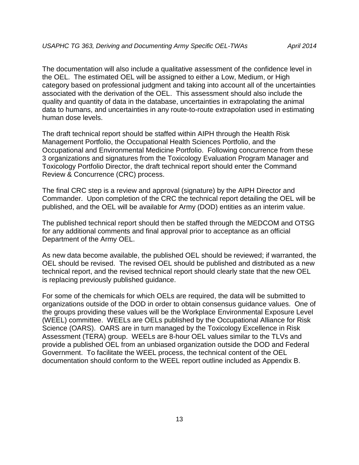The documentation will also include a qualitative assessment of the confidence level in the OEL. The estimated OEL will be assigned to either a Low, Medium, or High category based on professional judgment and taking into account all of the uncertainties associated with the derivation of the OEL. This assessment should also include the quality and quantity of data in the database, uncertainties in extrapolating the animal data to humans, and uncertainties in any route-to-route extrapolation used in estimating human dose levels.

The draft technical report should be staffed within AIPH through the Health Risk Management Portfolio, the Occupational Health Sciences Portfolio, and the Occupational and Environmental Medicine Portfolio. Following concurrence from these 3 organizations and signatures from the Toxicology Evaluation Program Manager and Toxicology Portfolio Director, the draft technical report should enter the Command Review & Concurrence (CRC) process.

The final CRC step is a review and approval (signature) by the AIPH Director and Commander. Upon completion of the CRC the technical report detailing the OEL will be published, and the OEL will be available for Army (DOD) entities as an interim value.

The published technical report should then be staffed through the MEDCOM and OTSG for any additional comments and final approval prior to acceptance as an official Department of the Army OEL.

As new data become available, the published OEL should be reviewed; if warranted, the OEL should be revised. The revised OEL should be published and distributed as a new technical report, and the revised technical report should clearly state that the new OEL is replacing previously published guidance.

For some of the chemicals for which OELs are required, the data will be submitted to organizations outside of the DOD in order to obtain consensus guidance values. One of the groups providing these values will be the Workplace Environmental Exposure Level (WEEL) committee. WEELs are OELs published by the Occupational Alliance for Risk Science (OARS). OARS are in turn managed by the Toxicology Excellence in Risk Assessment (TERA) group. WEELs are 8-hour OEL values similar to the TLVs and provide a published OEL from an unbiased organization outside the DOD and Federal Government. To facilitate the WEEL process, the technical content of the OEL documentation should conform to the WEEL report outline included as Appendix B.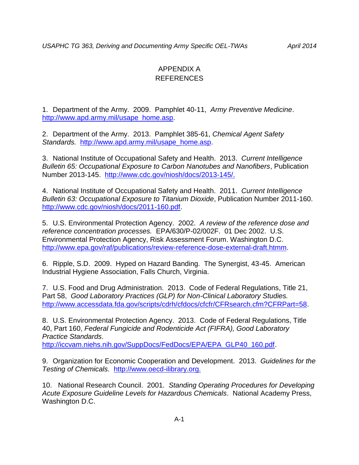# APPENDIX A REFERENCES

1. Department of the Army. 2009. Pamphlet 40-11, *Army Preventive Medicine*. [http://www.apd.army.mil/usape\\_home.asp.](http://www.apd.army.mil/usape_home.asp)

2. Department of the Army. 2013. Pamphlet 385-61, *Chemical Agent Safety Standards.* [http://www.apd.army.mil/usape\\_home.asp.](http://www.apd.army.mil/usape_home.asp)

3. National Institute of Occupational Safety and Health. 2013. *Current Intelligence Bulletin 65: Occupational Exposure to Carbon Nanotubes and Nanofibers*, Publication Number 2013-145. [http://www.cdc.gov/niosh/docs/2013-145/.](http://www.cdc.gov/niosh/docs/2013-145/)

4. National Institute of Occupational Safety and Health. 2011. *Current Intelligence Bulletin 63: Occupational Exposure to Titanium Dioxide*, Publication Number 2011-160. [http://www.cdc.gov/niosh/docs/2011-160.pdf.](http://www.cdc.gov/niosh/docs/2011-160.pdf)

5. U.S. Environmental Protection Agency. 2002. *A review of the reference dose and reference concentration processes.* EPA/630/P-02/002F. 01 Dec 2002. U.S. Environmental Protection Agency, Risk Assessment Forum. Washington D.C. [http://www.epa.gov/raf/publications/review-reference-dose-external-draft.htmm.](http://www.epa.gov/raf/publications/review-reference-dose-external-draft.htmm)

6. Ripple, S.D. 2009. Hyped on Hazard Banding. The Synergist, 43-45. American Industrial Hygiene Association, Falls Church, Virginia.

7. U.S. Food and Drug Administration. 2013. Code of Federal Regulations, Title 21, Part 58, *Good Laboratory Practices (GLP) for Non-Clinical Laboratory Studies.*  [http://www.accessdata.fda.gov/scripts/cdrh/cfdocs/cfcfr/CFRsearch.cfm?CFRPart=58.](http://www.accessdata.fda.gov/scripts/cdrh/cfdocs/cfcfr/CFRsearch.cfm?CFRPart=58)

8. U.S. Environmental Protection Agency. 2013. Code of Federal Regulations, Title 40, Part 160, *Federal Fungicide and Rodenticide Act (FIFRA), Good Laboratory Practice Standards*.

[http://iccvam.niehs.nih.gov/SuppDocs/FedDocs/EPA/EPA\\_GLP40\\_160.pdf.](http://iccvam.niehs.nih.gov/SuppDocs/FedDocs/EPA/EPA_GLP40_160.pdf)

9. Organization for Economic Cooperation and Development. 2013. *Guidelines for the Testing of Chemicals.* [http://www.oecd-ilibrary.org.](http://www.oecd-ilibrary.org/)

10. National Research Council. 2001. *Standing Operating Procedures for Developing Acute Exposure Guideline Levels for Hazardous Chemicals*. National Academy Press, Washington D.C.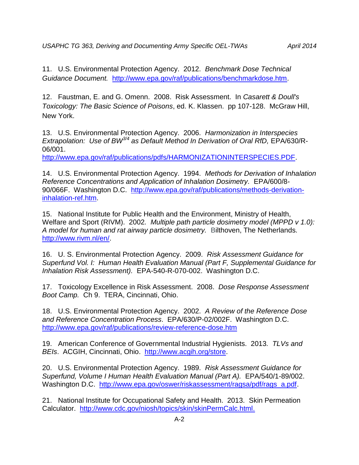*USAPHC TG 363, Deriving and Documenting Army Specific OEL-TWAs April 2014*

11. U.S. Environmental Protection Agency. 2012. *Benchmark Dose Technical Guidance Document.* [http://www.epa.gov/raf/publications/benchmarkdose.htm.](http://www.epa.gov/raf/publications/benchmarkdose.htm)

12. Faustman, E. and G. Omenn. 2008. Risk Assessment. In *Casarett & Doull's Toxicology: The Basic Science of Poisons*, ed. K. Klassen. pp 107-128. McGraw Hill, New York.

13. U.S. Environmental Protection Agency. 2006. *Harmonization in Interspecies Extrapolation: Use of BW3/4 as Default Method In Derivation of Oral RfD,* EPA/630/R-06/001.

[http://www.epa.gov/raf/publications/pdfs/HARMONIZATIONINTERSPECIES.PDF.](http://www.epa.gov/raf/publications/pdfs/HARMONIZATIONINTERSPECIES.PDF)

14. U.S. Environmental Protection Agency. 1994. *Methods for Derivation of Inhalation Reference Concentrations and Application of Inhalation Dosimetry.* EPA/600/8- 90/066F. Washington D.C. [http://www.epa.gov/raf/publications/methods-derivation](http://www.epa.gov/raf/publications/methods-derivation-inhalation-ref.htm)[inhalation-ref.htm.](http://www.epa.gov/raf/publications/methods-derivation-inhalation-ref.htm)

15. National Institute for Public Health and the Environment, Ministry of Health, Welfare and Sport (RIVM). 2002*. Multiple path particle dosimetry model (MPPD v 1.0): A model for human and rat airway particle dosimetry.* Bilthoven, The Netherlands. [http://www.rivm.nl/en/.](http://www.rivm.nl/en/)

16. U. S. Environmental Protection Agency. 2009. *Risk Assessment Guidance for Superfund Vol. I: Human Health Evaluation Manual (Part F, Supplemental Guidance for Inhalation Risk Assessment).* EPA-540-R-070-002. Washington D.C.

17. Toxicology Excellence in Risk Assessment. 2008. *Dose Response Assessment Boot Camp.* Ch 9. TERA, Cincinnati, Ohio.

18. U.S. Environmental Protection Agency. 2002. *A Review of the Reference Dose and Reference Concentration Process*. EPA/630/P-02/002F. Washington D.C. <http://www.epa.gov/raf/publications/review-reference-dose.htm>

19. American Conference of Governmental Industrial Hygienists. 2013*. TLVs and BEIs*. ACGIH, Cincinnati, Ohio. [http://www.acgih.org/store.](http://www.acgih.org/store)

20. U.S. Environmental Protection Agency. 1989. *Risk Assessment Guidance for Superfund, Volume I Human Health Evaluation Manual (Part A).* EPA/540/1-89/002. Washington D.C. [http://www.epa.gov/oswer/riskassessment/ragsa/pdf/rags\\_a.pdf.](http://www.epa.gov/oswer/riskassessment/ragsa/pdf/rags_a.pdf)

21. National Institute for Occupational Safety and Health. 2013. Skin Permeation Calculator. [http://www.cdc.gov/niosh/topics/skin/skinPermCalc.html.](http://www.cdc.gov/niosh/topics/skin/skinPermCalc.html)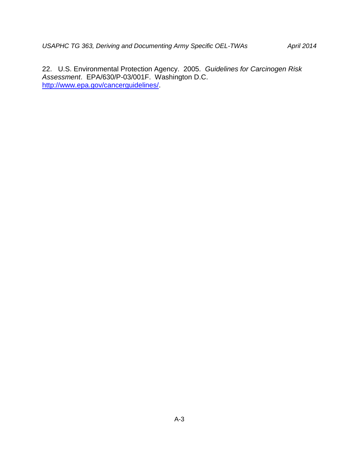22. U.S. Environmental Protection Agency. 2005. *Guidelines for Carcinogen Risk Assessment*. EPA/630/P-03/001F. Washington D.C. [http://www.epa.gov/cancerguidelines/.](http://www.epa.gov/cancerguidelines/)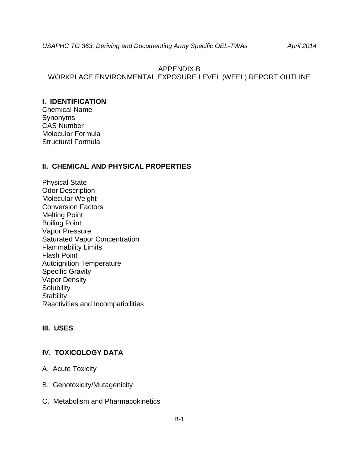# APPENDIX B WORKPLACE ENVIRONMENTAL EXPOSURE LEVEL (WEEL) REPORT OUTLINE

### **I. IDENTIFICATION**

Chemical Name Synonyms CAS Number Molecular Formula Structural Formula

### **II. CHEMICAL AND PHYSICAL PROPERTIES**

Physical State Odor Description Molecular Weight Conversion Factors Melting Point Boiling Point Vapor Pressure Saturated Vapor Concentration Flammability Limits Flash Point Autoignition Temperature Specific Gravity Vapor Density **Solubility Stability** Reactivities and Incompatibilities

# **III. USES**

# **IV. TOXICOLOGY DATA**

- A. Acute Toxicity
- B. Genotoxicity/Mutagenicity
- C. Metabolism and Pharmacokinetics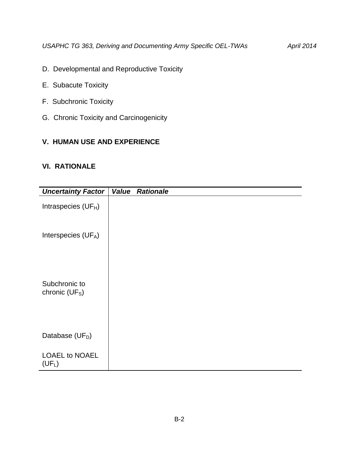- D. Developmental and Reproductive Toxicity
- E. Subacute Toxicity
- F. Subchronic Toxicity
- G. Chronic Toxicity and Carcinogenicity

# **V. HUMAN USE AND EXPERIENCE**

# **VI. RATIONALE**

| <b>Uncertainty Factor</b>                   | Value | <b>Rationale</b> |  |  |
|---------------------------------------------|-------|------------------|--|--|
| Intraspecies (UFH)                          |       |                  |  |  |
| Interspecies (UFA)                          |       |                  |  |  |
| Subchronic to<br>chronic (UF <sub>S</sub> ) |       |                  |  |  |
| Database (UF <sub>D</sub> )                 |       |                  |  |  |
| <b>LOAEL to NOAEL</b><br>$(UF_L)$           |       |                  |  |  |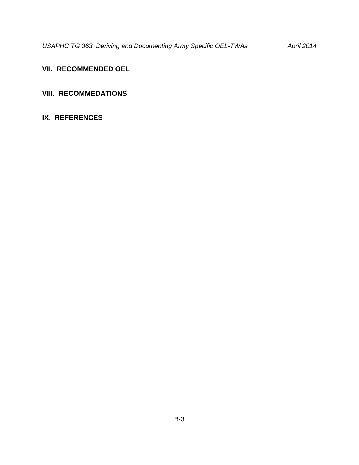# **VII. RECOMMENDED OEL**

# **VIII. RECOMMEDATIONS**

# **IX. REFERENCES**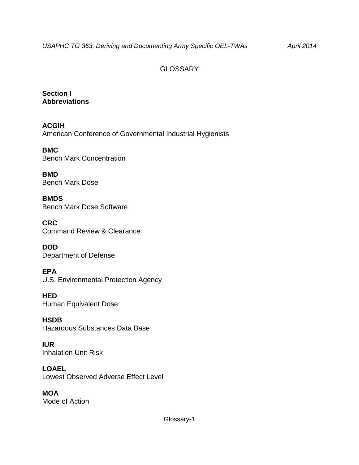# **GLOSSARY**

**Section I Abbreviations**

**ACGIH** American Conference of Governmental Industrial Hygienists

**BMC** Bench Mark Concentration

**BMD** Bench Mark Dose

**BMDS** Bench Mark Dose Software

**CRC** Command Review & Clearance

**DOD** Department of Defense

**EPA** U.S. Environmental Protection Agency

**HED** Human Equivalent Dose

**HSDB** Hazardous Substances Data Base

**IUR** Inhalation Unit Risk

**LOAEL** Lowest Observed Adverse Effect Level

**MOA** Mode of Action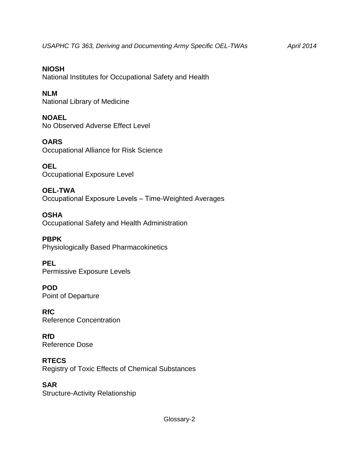**NIOSH** National Institutes for Occupational Safety and Health

**NLM** National Library of Medicine

**NOAEL** No Observed Adverse Effect Level

**OARS** Occupational Alliance for Risk Science

**OEL** Occupational Exposure Level

**OEL-TWA** Occupational Exposure Levels ‒ Time-Weighted Averages

**OSHA** Occupational Safety and Health Administration

**PBPK** Physiologically Based Pharmacokinetics

**PEL** Permissive Exposure Levels

**POD** Point of Departure

**RfC** Reference Concentration

**RfD** Reference Dose

**RTECS** Registry of Toxic Effects of Chemical Substances

**SAR** Structure-Activity Relationship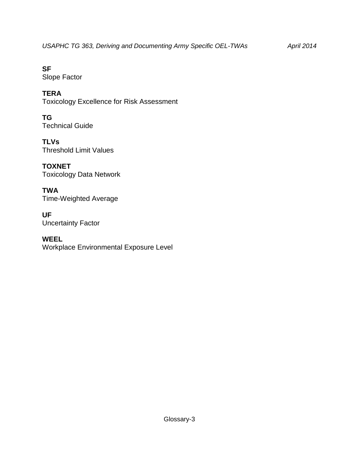**SF** Slope Factor

**TERA** Toxicology Excellence for Risk Assessment

**TG** Technical Guide

**TLVs** Threshold Limit Values

**TOXNET** Toxicology Data Network

**TWA** Time-Weighted Average

**UF** Uncertainty Factor

**WEEL** Workplace Environmental Exposure Level